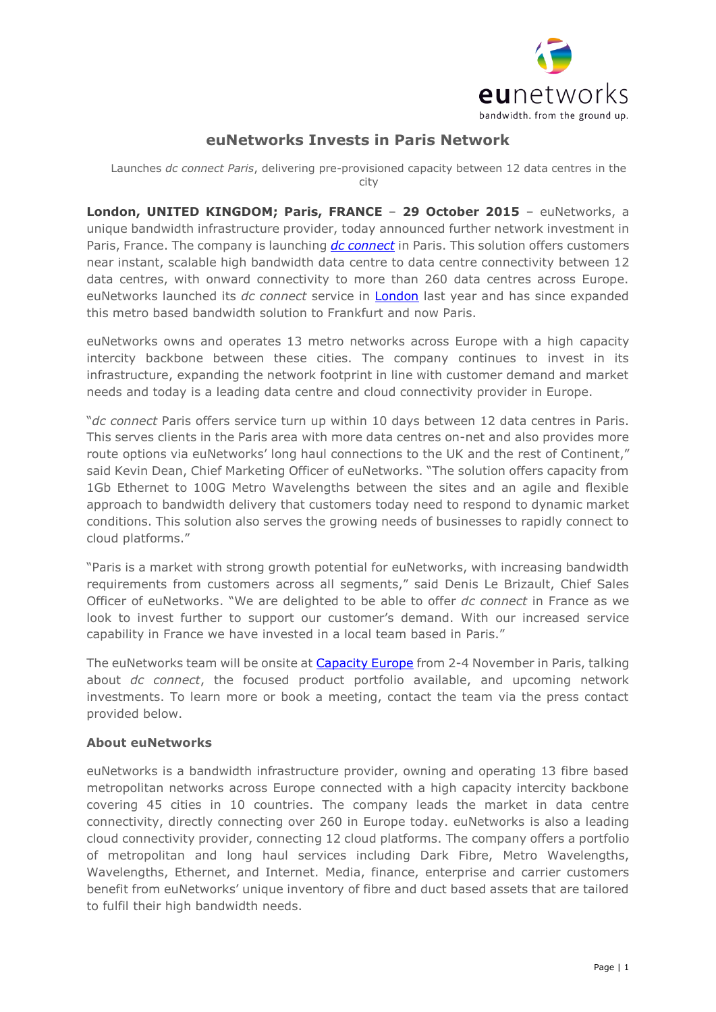

## **euNetworks Invests in Paris Network**

Launches *dc connect Paris*, delivering pre-provisioned capacity between 12 data centres in the city

**London, UNITED KINGDOM; Paris, FRANCE** – **29 October 2015** – euNetworks, a unique bandwidth infrastructure provider, today announced further network investment in Paris, France. The company is launching *[dc connect](http://www.eunetworks.com/dc-connect-paris/)* in Paris. This solution offers customers near instant, scalable high bandwidth data centre to data centre connectivity between 12 data centres, with onward connectivity to more than 260 data centres across Europe. euNetworks launched its *dc connect* service in [London](http://www.eunetworks.com/news/eunetworks-dc-connect-brings-instant-bandwidth-londons-businesses/) last year and has since expanded this metro based bandwidth solution to Frankfurt and now Paris.

euNetworks owns and operates 13 metro networks across Europe with a high capacity intercity backbone between these cities. The company continues to invest in its infrastructure, expanding the network footprint in line with customer demand and market needs and today is a leading data centre and cloud connectivity provider in Europe.

"*dc connect* Paris offers service turn up within 10 days between 12 data centres in Paris. This serves clients in the Paris area with more data centres on-net and also provides more route options via euNetworks' long haul connections to the UK and the rest of Continent," said Kevin Dean, Chief Marketing Officer of euNetworks. "The solution offers capacity from 1Gb Ethernet to 100G Metro Wavelengths between the sites and an agile and flexible approach to bandwidth delivery that customers today need to respond to dynamic market conditions. This solution also serves the growing needs of businesses to rapidly connect to cloud platforms."

"Paris is a market with strong growth potential for euNetworks, with increasing bandwidth requirements from customers across all segments," said Denis Le Brizault, Chief Sales Officer of euNetworks. "We are delighted to be able to offer *dc connect* in France as we look to invest further to support our customer's demand. With our increased service capability in France we have invested in a local team based in Paris."

The euNetworks team will be onsite at **Capacity Europe** from 2-4 November in Paris, talking about *dc connect*, the focused product portfolio available, and upcoming network investments. To learn more or book a meeting, contact the team via the press contact provided below.

## **About euNetworks**

euNetworks is a bandwidth infrastructure provider, owning and operating 13 fibre based metropolitan networks across Europe connected with a high capacity intercity backbone covering 45 cities in 10 countries. The company leads the market in data centre connectivity, directly connecting over 260 in Europe today. euNetworks is also a leading cloud connectivity provider, connecting 12 cloud platforms. The company offers a portfolio of metropolitan and long haul services including Dark Fibre, Metro Wavelengths, Wavelengths, Ethernet, and Internet. Media, finance, enterprise and carrier customers benefit from euNetworks' unique inventory of fibre and duct based assets that are tailored to fulfil their high bandwidth needs.